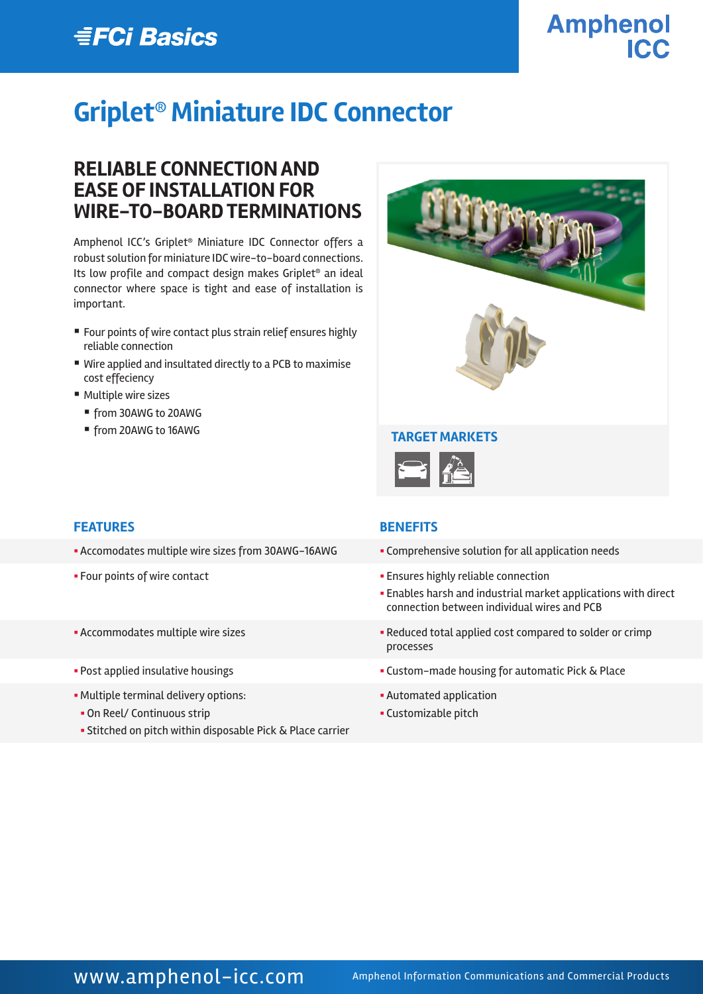# **EFCi Basics**

# **Amphenol ICC**

# **Griplet® Miniature IDC Connector**

### **RELIABLE CONNECTION AND EASE OF INSTALLATION FOR WIRE-TO-BOARD TERMINATIONS**

Amphenol ICC's Griplet® Miniature IDC Connector offers a robust solution for miniature IDC wire-to-board connections. Its low profile and compact design makes Griplet® an ideal connector where space is tight and ease of installation is important.

- Four points of wire contact plus strain relief ensures highly reliable connection
- Wire applied and insultated directly to a PCB to maximise cost effeciency
- Multiple wire sizes
	- from 30AWG to 20AWG
	- from 20AWG to 16AWG



### **FEATURES BENEFITS**

- Accomodates multiple wire sizes from 30AWG-16AWG **•** Comprehensive solution for all application needs
- 
- 
- 
- Multiple terminal delivery options:
- On Reel/ Continuous strip
- § Stitched on pitch within disposable Pick & Place carrier

- 
- § Four points of wire contact § Ensures highly reliable connection
	- **Enables harsh and industrial market applications with direct** connection between individual wires and PCB
- § Accommodates multiple wire sizes § Reduced total applied cost compared to solder or crimp processes
- Post applied insulative housings **Example 20 in 1998** Custom-made housing for automatic Pick & Place
	- **Automated application**
	- § Customizable pitch